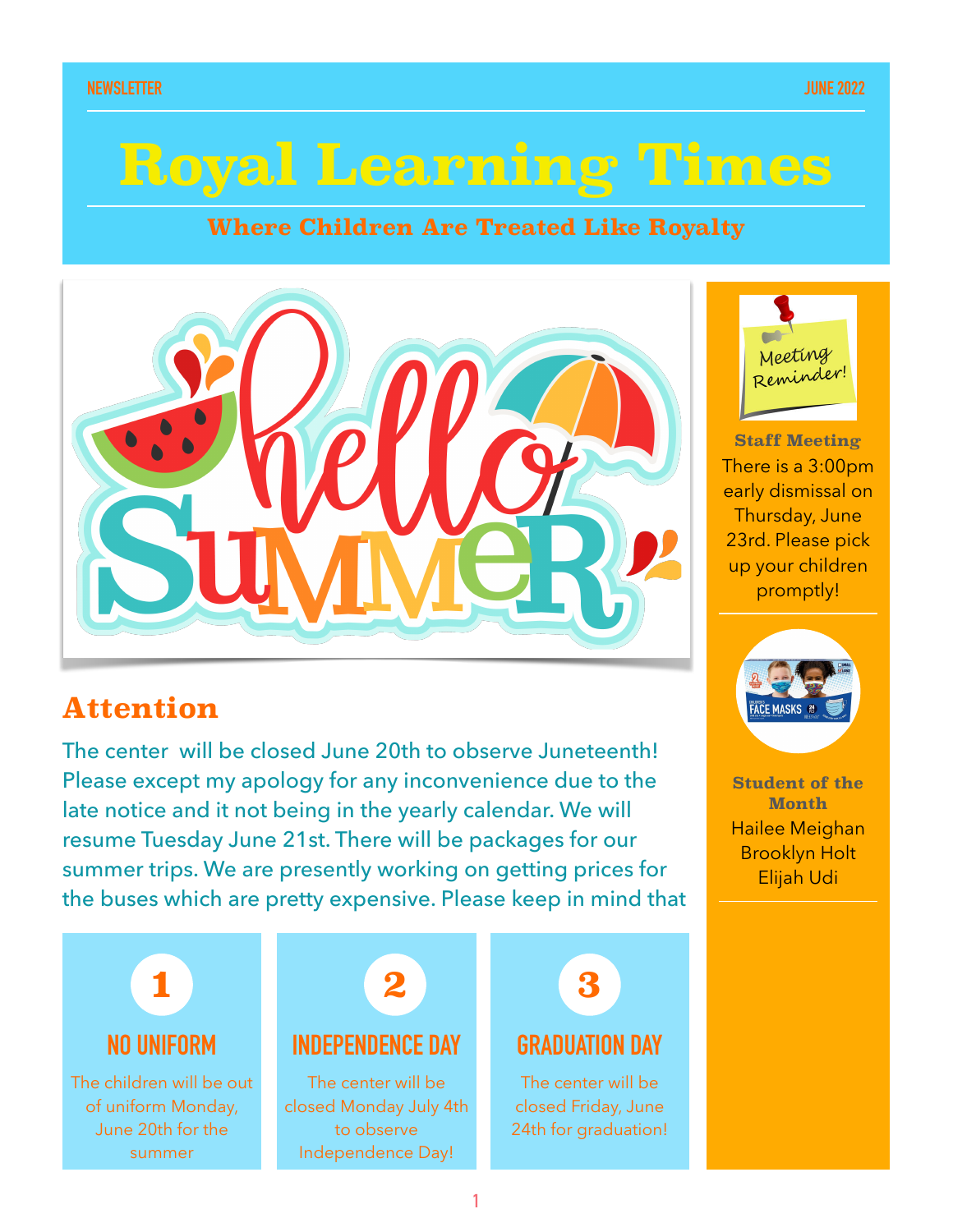# **Royal Learning Times**

#### **Where Children Are Treated Like Royalty**



### **Attention**

The center will be closed June 20th to observe Juneteenth! Please except my apology for any inconvenience due to the late notice and it not being in the yearly calendar. We will resume Tuesday June 21st. There will be packages for our summer trips. We are presently working on getting prices for the buses which are pretty expensive. Please keep in mind that





**Staff Meeting**  There is a 3:00pm early dismissal on Thursday, June 23rd. Please pick up your children promptly!



**Student of the Month** Hailee Meighan Brooklyn Holt Elijah Udi